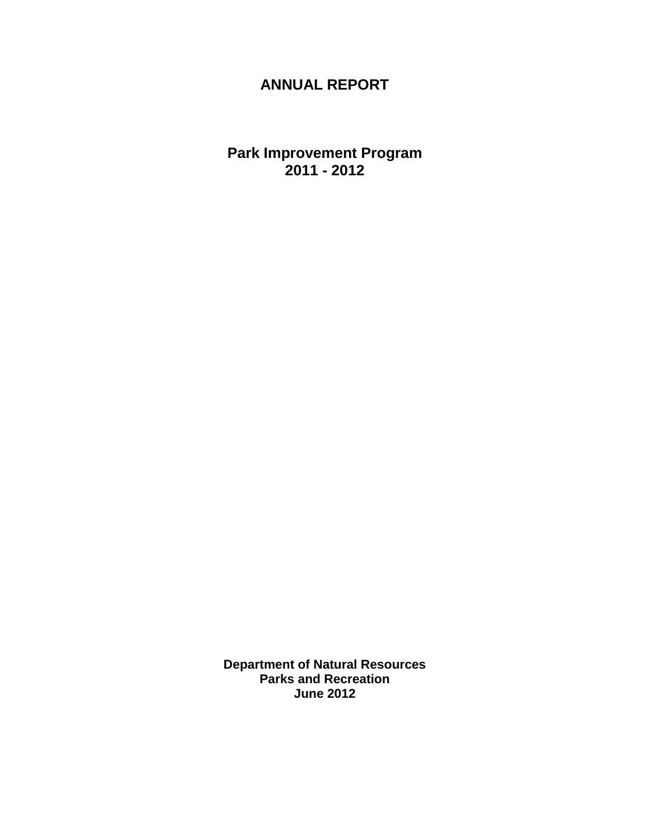# **ANNUAL REPORT**

**Park Improvement Program 2011 - 2012**

**Department of Natural Resources Parks and Recreation June 2012**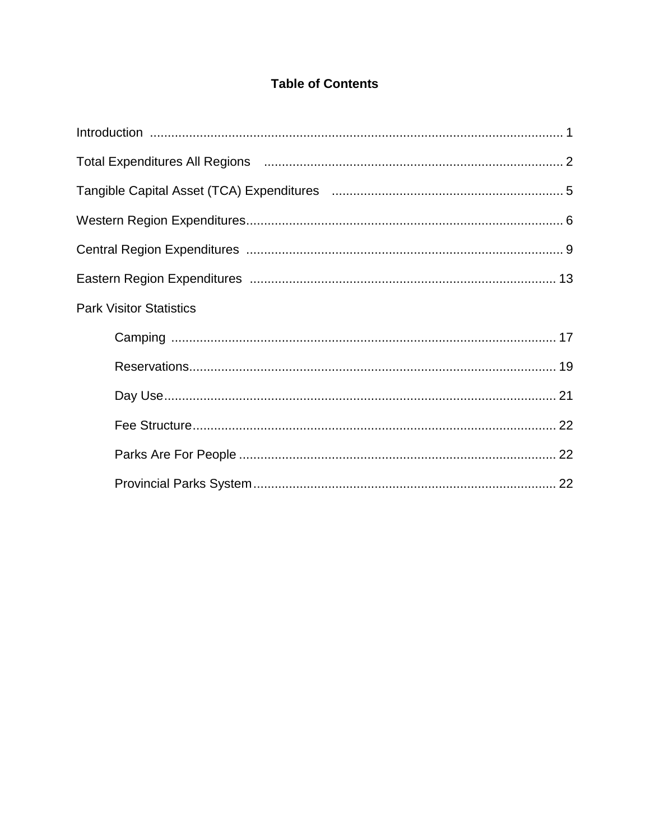### **Table of Contents**

| Total Expenditures All Regions (and according to the control of the 2 |  |
|-----------------------------------------------------------------------|--|
|                                                                       |  |
|                                                                       |  |
|                                                                       |  |
|                                                                       |  |
| <b>Park Visitor Statistics</b>                                        |  |
|                                                                       |  |
|                                                                       |  |
|                                                                       |  |
|                                                                       |  |
|                                                                       |  |
|                                                                       |  |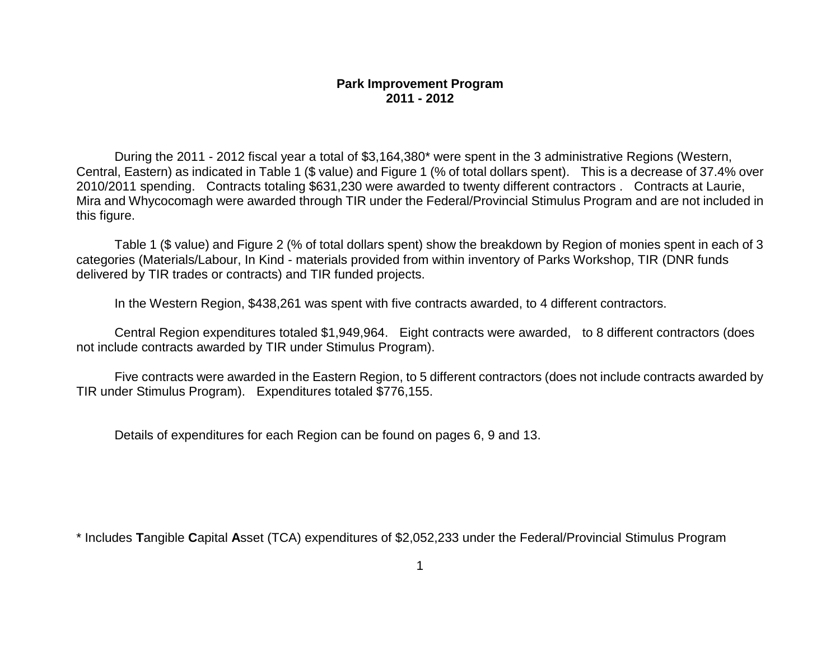During the 2011 - 2012 fiscal year a total of \$3,164,380\* were spent in the 3 administrative Regions (Western, Central, Eastern) as indicated in Table 1 (\$ value) and Figure 1 (% of total dollars spent). This is a decrease of 37.4% over 2010/2011 spending. Contracts totaling \$631,230 were awarded to twenty different contractors . Contracts at Laurie, Mira and Whycocomagh were awarded through TIR under the Federal/Provincial Stimulus Program and are not included in this figure.

Table 1 (\$ value) and Figure 2 (% of total dollars spent) show the breakdown by Region of monies spent in each of 3 categories (Materials/Labour, In Kind - materials provided from within inventory of Parks Workshop, TIR (DNR funds delivered by TIR trades or contracts) and TIR funded projects.

In the Western Region, \$438,261 was spent with five contracts awarded, to 4 different contractors.

Central Region expenditures totaled \$1,949,964. Eight contracts were awarded, to 8 different contractors (does not include contracts awarded by TIR under Stimulus Program).

Five contracts were awarded in the Eastern Region, to 5 different contractors (does not include contracts awarded by TIR under Stimulus Program). Expenditures totaled \$776,155.

Details of expenditures for each Region can be found on pages 6, 9 and 13.

\* Includes **T**angible **C**apital **A**sset (TCA) expenditures of \$2,052,233 under the Federal/Provincial Stimulus Program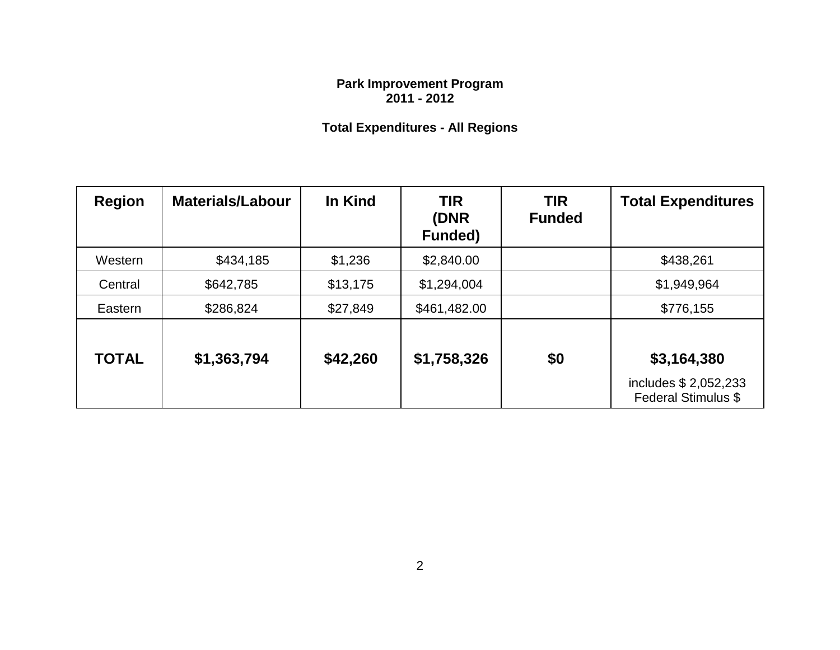# **Total Expenditures - All Regions**

| <b>Region</b> | <b>Materials/Labour</b> | In Kind  | <b>TIR</b><br>(DNR<br><b>Funded)</b> | <b>TIR</b><br><b>Funded</b> | <b>Total Expenditures</b>                                          |
|---------------|-------------------------|----------|--------------------------------------|-----------------------------|--------------------------------------------------------------------|
| Western       | \$434,185               | \$1,236  | \$2,840.00                           |                             | \$438,261                                                          |
| Central       | \$642,785               | \$13,175 | \$1,294,004                          |                             | \$1,949,964                                                        |
| Eastern       | \$286,824               | \$27,849 | \$461,482.00                         |                             | \$776,155                                                          |
| <b>TOTAL</b>  | \$1,363,794             | \$42,260 | \$1,758,326                          | \$0                         | \$3,164,380<br>includes \$ 2,052,233<br><b>Federal Stimulus \$</b> |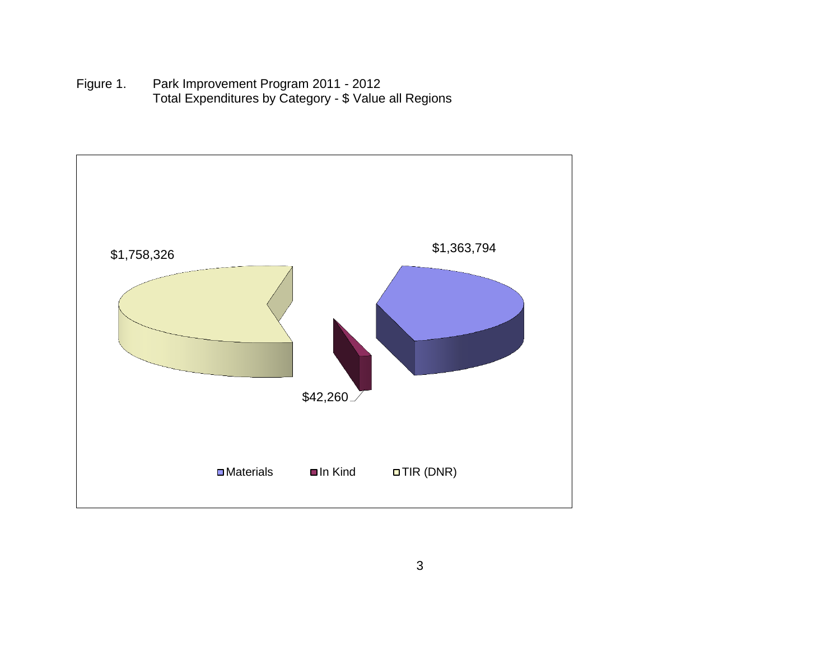Figure 1. Park Improvement Program 2011 - 2012 Total Expenditures by Category - \$ Value all Regions

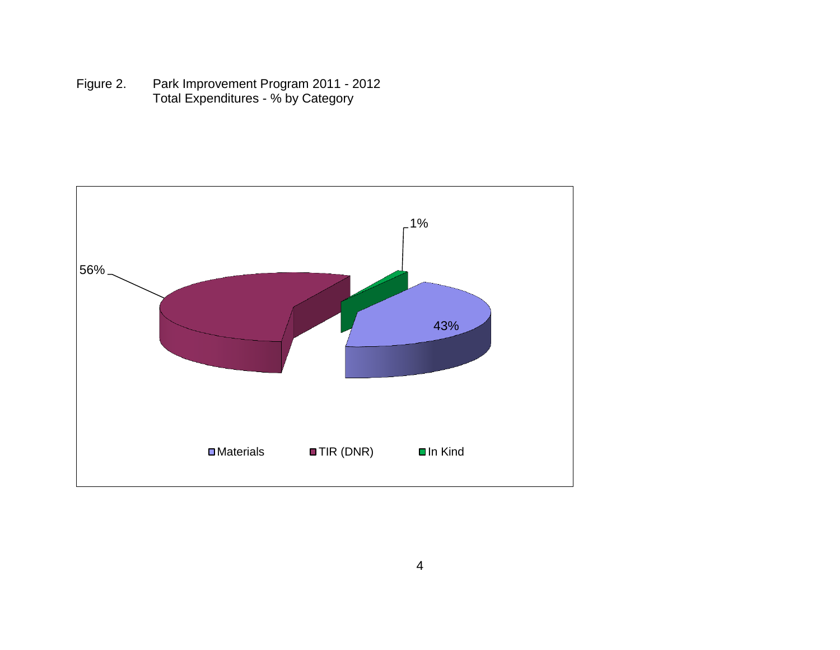Figure 2. Park Improvement Program 2011 - 2012 Total Expenditures - % by Category

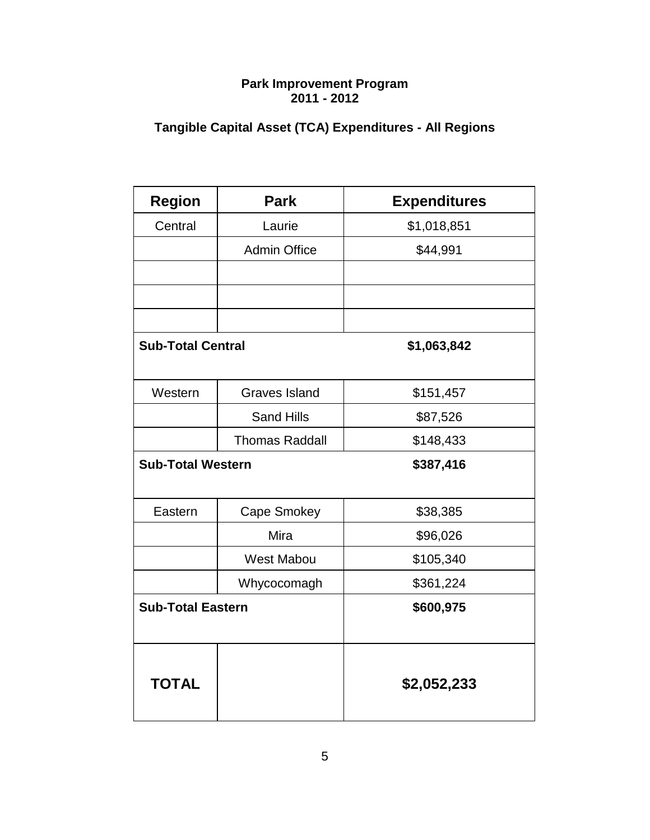# **Tangible Capital Asset (TCA) Expenditures - All Regions**

| <b>Region</b>            | <b>Park</b>           | <b>Expenditures</b> |
|--------------------------|-----------------------|---------------------|
| Central                  | Laurie                | \$1,018,851         |
|                          | <b>Admin Office</b>   | \$44,991            |
|                          |                       |                     |
|                          |                       |                     |
|                          |                       |                     |
| <b>Sub-Total Central</b> |                       | \$1,063,842         |
| Western                  | <b>Graves Island</b>  | \$151,457           |
|                          | <b>Sand Hills</b>     | \$87,526            |
|                          | <b>Thomas Raddall</b> | \$148,433           |
| <b>Sub-Total Western</b> |                       | \$387,416           |
| Eastern                  | Cape Smokey           | \$38,385            |
|                          | Mira                  | \$96,026            |
|                          | West Mabou            | \$105,340           |
|                          | Whycocomagh           | \$361,224           |
| <b>Sub-Total Eastern</b> |                       | \$600,975           |
| <b>TOTAL</b>             |                       | \$2,052,233         |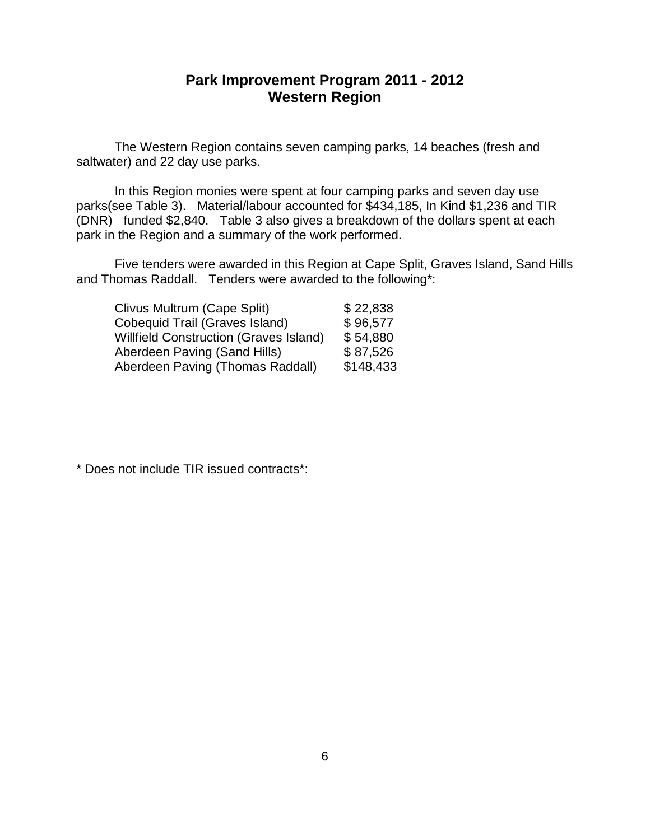### **Park Improvement Program 2011 - 2012 Western Region**

The Western Region contains seven camping parks, 14 beaches (fresh and saltwater) and 22 day use parks.

In this Region monies were spent at four camping parks and seven day use parks(see Table 3). Material/labour accounted for \$434,185, In Kind \$1,236 and TIR (DNR) funded \$2,840. Table 3 also gives a breakdown of the dollars spent at each park in the Region and a summary of the work performed.

Five tenders were awarded in this Region at Cape Split, Graves Island, Sand Hills and Thomas Raddall. Tenders were awarded to the following\*:

| Clivus Multrum (Cape Split)                   | \$22,838  |
|-----------------------------------------------|-----------|
| Cobequid Trail (Graves Island)                | \$96,577  |
| <b>Willfield Construction (Graves Island)</b> | \$54,880  |
| Aberdeen Paving (Sand Hills)                  | \$87,526  |
| Aberdeen Paving (Thomas Raddall)              | \$148,433 |
|                                               |           |

\* Does not include TIR issued contracts\*: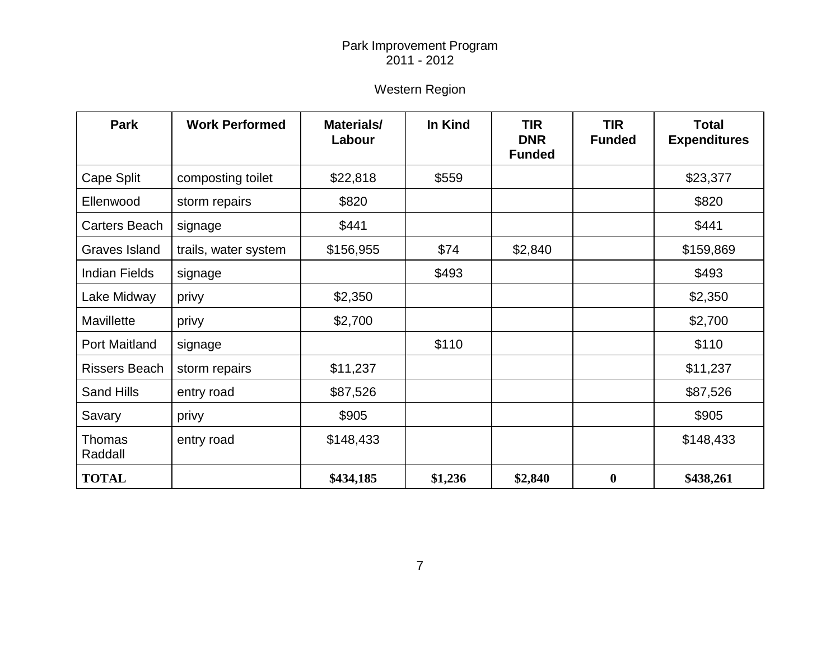# Western Region

| <b>Park</b>              | <b>Work Performed</b> | Materials/<br>Labour | In Kind | <b>TIR</b><br><b>DNR</b><br><b>Funded</b> | <b>TIR</b><br><b>Funded</b> | <b>Total</b><br><b>Expenditures</b> |
|--------------------------|-----------------------|----------------------|---------|-------------------------------------------|-----------------------------|-------------------------------------|
| Cape Split               | composting toilet     | \$22,818             | \$559   |                                           |                             | \$23,377                            |
| Ellenwood                | storm repairs         | \$820                |         |                                           |                             | \$820                               |
| Carters Beach            | signage               | \$441                |         |                                           |                             | \$441                               |
| Graves Island            | trails, water system  | \$156,955            | \$74    | \$2,840                                   |                             | \$159,869                           |
| <b>Indian Fields</b>     | signage               |                      | \$493   |                                           |                             | \$493                               |
| Lake Midway              | privy                 | \$2,350              |         |                                           |                             | \$2,350                             |
| Mavillette               | privy                 | \$2,700              |         |                                           |                             | \$2,700                             |
| <b>Port Maitland</b>     | signage               |                      | \$110   |                                           |                             | \$110                               |
| <b>Rissers Beach</b>     | storm repairs         | \$11,237             |         |                                           |                             | \$11,237                            |
| <b>Sand Hills</b>        | entry road            | \$87,526             |         |                                           |                             | \$87,526                            |
| Savary                   | privy                 | \$905                |         |                                           |                             | \$905                               |
| <b>Thomas</b><br>Raddall | entry road            | \$148,433            |         |                                           |                             | \$148,433                           |
| <b>TOTAL</b>             |                       | \$434,185            | \$1,236 | \$2,840                                   | $\boldsymbol{0}$            | \$438,261                           |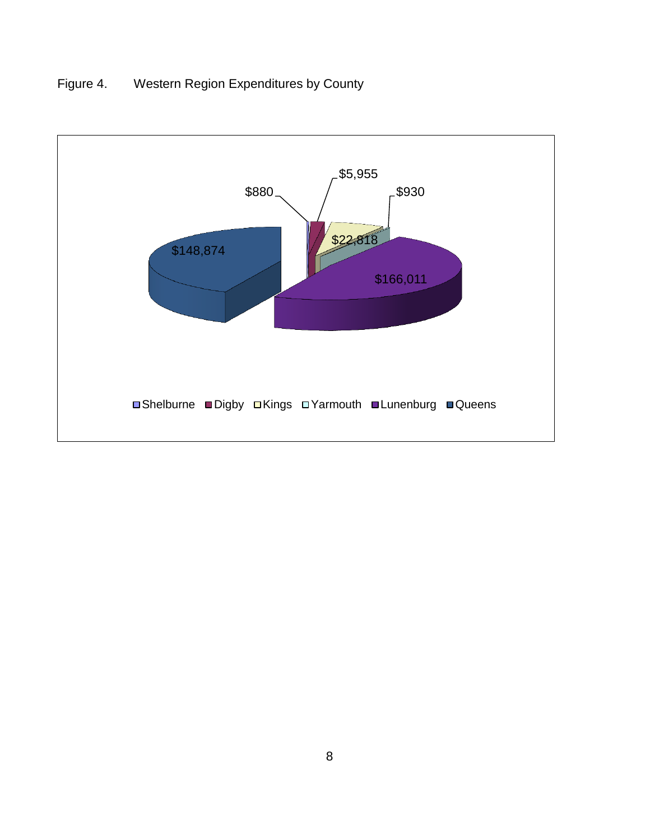# Figure 4. Western Region Expenditures by County

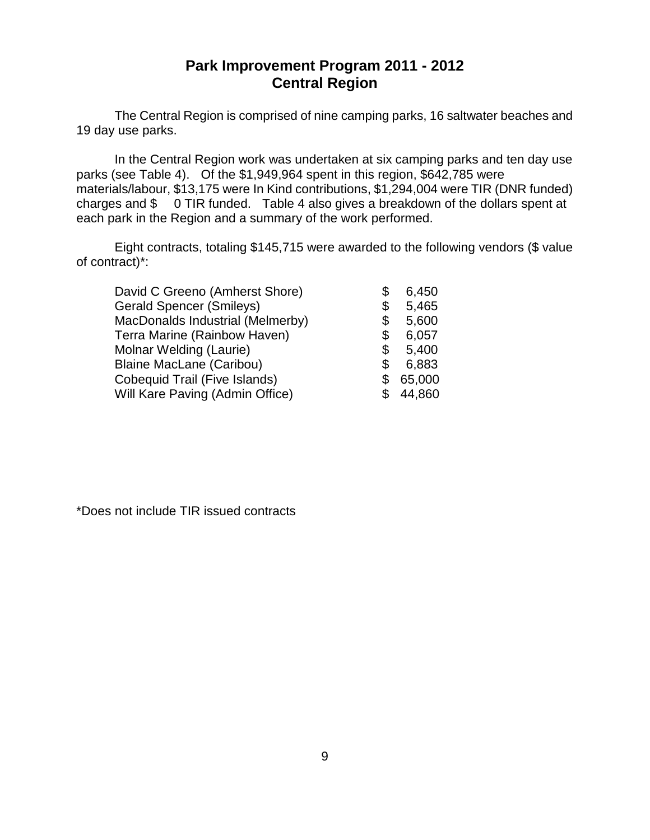## **Park Improvement Program 2011 - 2012 Central Region**

The Central Region is comprised of nine camping parks, 16 saltwater beaches and 19 day use parks.

In the Central Region work was undertaken at six camping parks and ten day use parks (see Table 4). Of the \$1,949,964 spent in this region, \$642,785 were materials/labour, \$13,175 were In Kind contributions, \$1,294,004 were TIR (DNR funded) charges and \$ 0 TIR funded. Table 4 also gives a breakdown of the dollars spent at each park in the Region and a summary of the work performed.

Eight contracts, totaling \$145,715 were awarded to the following vendors (\$ value of contract)\*:

| David C Greeno (Amherst Shore)   | \$ | 6,450  |
|----------------------------------|----|--------|
| <b>Gerald Spencer (Smileys)</b>  | \$ | 5,465  |
| MacDonalds Industrial (Melmerby) | \$ | 5,600  |
| Terra Marine (Rainbow Haven)     | \$ | 6,057  |
| Molnar Welding (Laurie)          | \$ | 5,400  |
| <b>Blaine MacLane (Caribou)</b>  | \$ | 6,883  |
| Cobequid Trail (Five Islands)    | S  | 65,000 |
| Will Kare Paving (Admin Office)  |    | 44,860 |
|                                  |    |        |

\*Does not include TIR issued contracts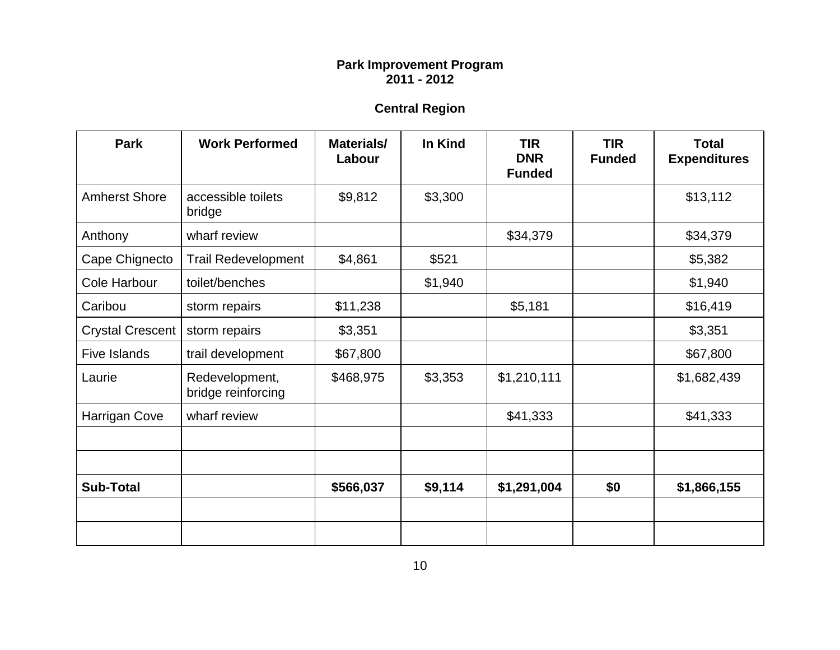# **Central Region**

| <b>Park</b>             | <b>Work Performed</b>                | Materials/<br>Labour | In Kind | <b>TIR</b><br><b>DNR</b><br><b>Funded</b> | <b>TIR</b><br><b>Funded</b> | <b>Total</b><br><b>Expenditures</b> |
|-------------------------|--------------------------------------|----------------------|---------|-------------------------------------------|-----------------------------|-------------------------------------|
| <b>Amherst Shore</b>    | accessible toilets<br>bridge         | \$9,812              | \$3,300 |                                           |                             | \$13,112                            |
| Anthony                 | wharf review                         |                      |         | \$34,379                                  |                             | \$34,379                            |
| Cape Chignecto          | <b>Trail Redevelopment</b>           | \$4,861              | \$521   |                                           |                             | \$5,382                             |
| Cole Harbour            | toilet/benches                       |                      | \$1,940 |                                           |                             | \$1,940                             |
| Caribou                 | storm repairs                        | \$11,238             |         | \$5,181                                   |                             | \$16,419                            |
| <b>Crystal Crescent</b> | storm repairs                        | \$3,351              |         |                                           |                             | \$3,351                             |
| <b>Five Islands</b>     | trail development                    | \$67,800             |         |                                           |                             | \$67,800                            |
| Laurie                  | Redevelopment,<br>bridge reinforcing | \$468,975            | \$3,353 | \$1,210,111                               |                             | \$1,682,439                         |
| Harrigan Cove           | wharf review                         |                      |         | \$41,333                                  |                             | \$41,333                            |
|                         |                                      |                      |         |                                           |                             |                                     |
|                         |                                      |                      |         |                                           |                             |                                     |
| <b>Sub-Total</b>        |                                      | \$566,037            | \$9,114 | \$1,291,004                               | \$0                         | \$1,866,155                         |
|                         |                                      |                      |         |                                           |                             |                                     |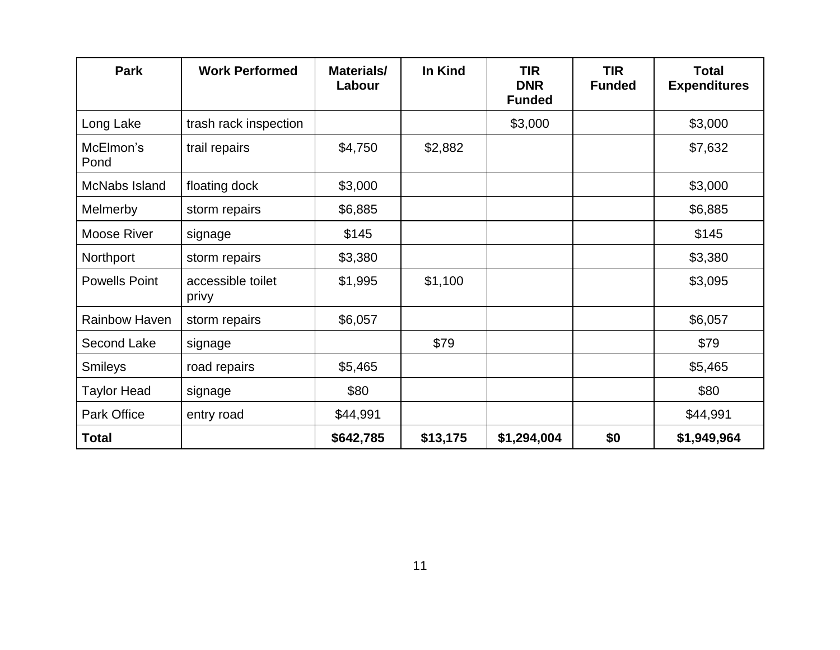| <b>Park</b>          | <b>Work Performed</b>      | Materials/<br>Labour | In Kind  | <b>TIR</b><br><b>DNR</b><br><b>Funded</b> | <b>TIR</b><br><b>Funded</b> | <b>Total</b><br><b>Expenditures</b> |
|----------------------|----------------------------|----------------------|----------|-------------------------------------------|-----------------------------|-------------------------------------|
| Long Lake            | trash rack inspection      |                      |          | \$3,000                                   |                             | \$3,000                             |
| McElmon's<br>Pond    | trail repairs              | \$4,750              | \$2,882  |                                           |                             | \$7,632                             |
| McNabs Island        | floating dock              | \$3,000              |          |                                           |                             | \$3,000                             |
| Melmerby             | storm repairs              | \$6,885              |          |                                           |                             | \$6,885                             |
| Moose River          | signage                    | \$145                |          |                                           |                             | \$145                               |
| Northport            | storm repairs              | \$3,380              |          |                                           |                             | \$3,380                             |
| <b>Powells Point</b> | accessible toilet<br>privy | \$1,995              | \$1,100  |                                           |                             | \$3,095                             |
| Rainbow Haven        | storm repairs              | \$6,057              |          |                                           |                             | \$6,057                             |
| Second Lake          | signage                    |                      | \$79     |                                           |                             | \$79                                |
| <b>Smileys</b>       | road repairs               | \$5,465              |          |                                           |                             | \$5,465                             |
| <b>Taylor Head</b>   | signage                    | \$80                 |          |                                           |                             | \$80                                |
| <b>Park Office</b>   | entry road                 | \$44,991             |          |                                           |                             | \$44,991                            |
| <b>Total</b>         |                            | \$642,785            | \$13,175 | \$1,294,004                               | \$0                         | \$1,949,964                         |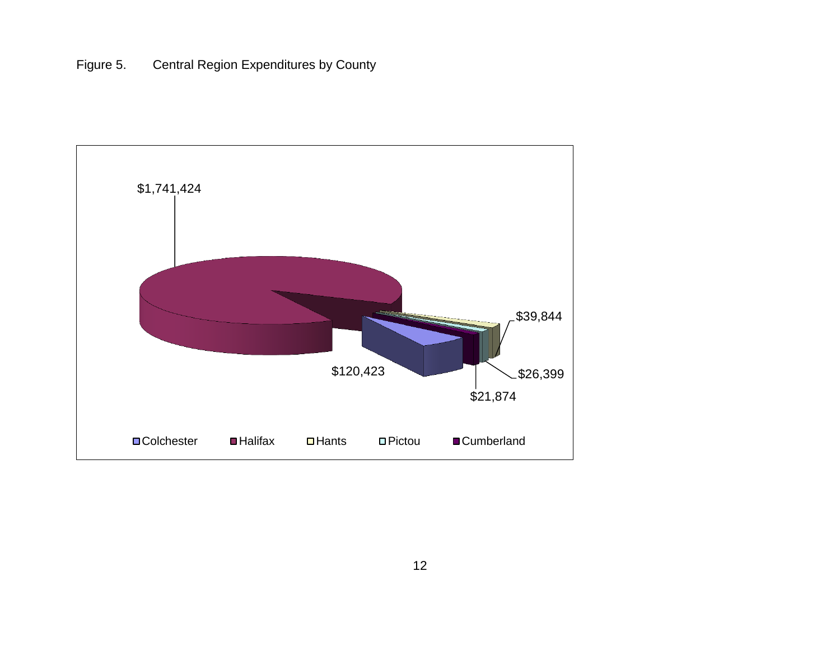Figure 5. Central Region Expenditures by County

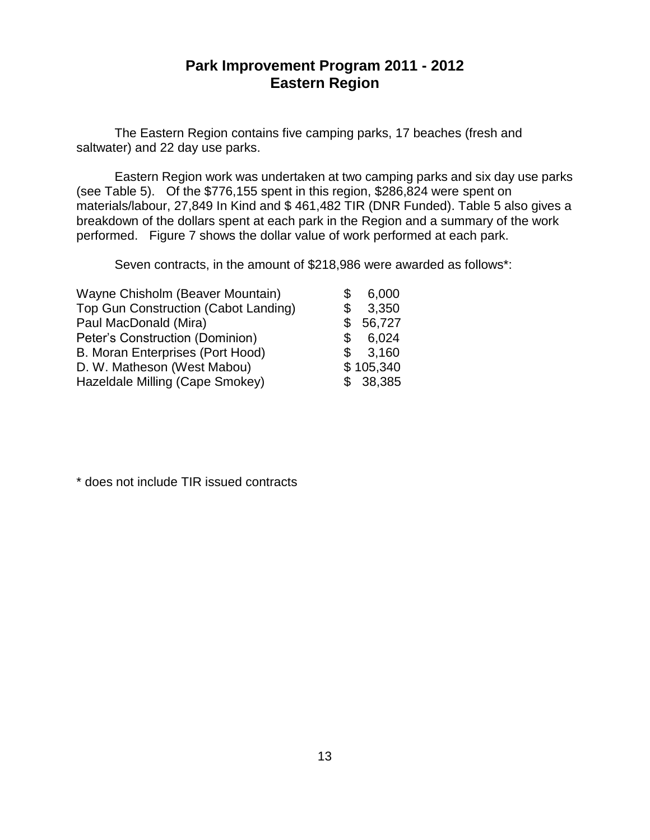## **Park Improvement Program 2011 - 2012 Eastern Region**

The Eastern Region contains five camping parks, 17 beaches (fresh and saltwater) and 22 day use parks.

Eastern Region work was undertaken at two camping parks and six day use parks (see Table 5). Of the \$776,155 spent in this region, \$286,824 were spent on materials/labour, 27,849 In Kind and \$ 461,482 TIR (DNR Funded). Table 5 also gives a breakdown of the dollars spent at each park in the Region and a summary of the work performed. Figure 7 shows the dollar value of work performed at each park.

Seven contracts, in the amount of \$218,986 were awarded as follows\*:

| Wayne Chisholm (Beaver Mountain)        |     | 6,000     |
|-----------------------------------------|-----|-----------|
| Top Gun Construction (Cabot Landing)    | \$  | 3,350     |
| Paul MacDonald (Mira)                   | \$. | 56,727    |
| Peter's Construction (Dominion)         | \$  | 6,024     |
| <b>B. Moran Enterprises (Port Hood)</b> | \$  | 3,160     |
| D. W. Matheson (West Mabou)             |     | \$105,340 |
| Hazeldale Milling (Cape Smokey)         |     | \$38,385  |
|                                         |     |           |

\* does not include TIR issued contracts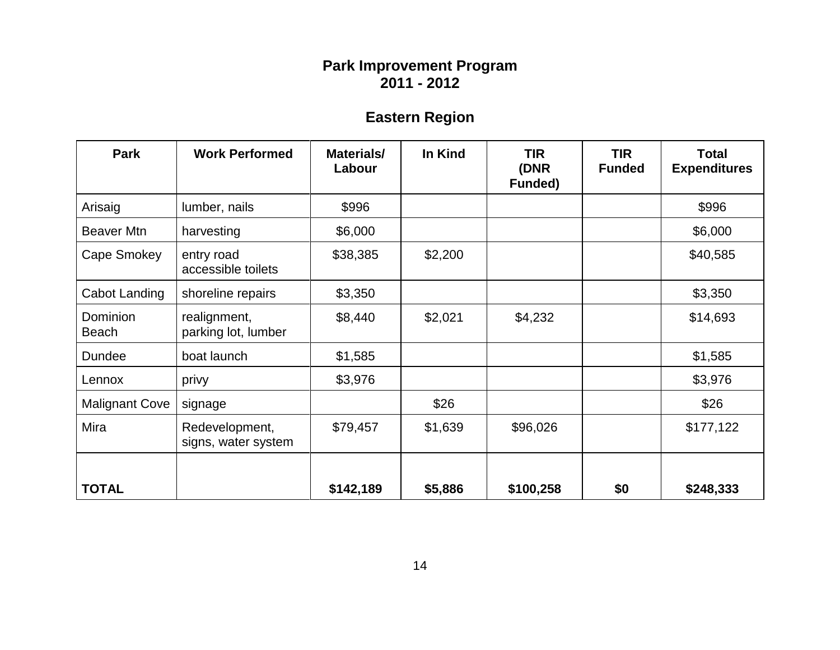# **Eastern Region**

| <b>Park</b>              | <b>Work Performed</b>                 | Materials/<br>Labour | In Kind | <b>TIR</b><br>(DNR<br><b>Funded)</b> | <b>TIR</b><br><b>Funded</b> | <b>Total</b><br><b>Expenditures</b> |
|--------------------------|---------------------------------------|----------------------|---------|--------------------------------------|-----------------------------|-------------------------------------|
| Arisaig                  | lumber, nails                         | \$996                |         |                                      |                             | \$996                               |
| Beaver Mtn               | harvesting                            | \$6,000              |         |                                      |                             | \$6,000                             |
| Cape Smokey              | entry road<br>accessible toilets      | \$38,385             | \$2,200 |                                      |                             | \$40,585                            |
| Cabot Landing            | shoreline repairs                     | \$3,350              |         |                                      |                             | \$3,350                             |
| Dominion<br><b>Beach</b> | realignment,<br>parking lot, lumber   | \$8,440              | \$2,021 | \$4,232                              |                             | \$14,693                            |
| Dundee                   | boat launch                           | \$1,585              |         |                                      |                             | \$1,585                             |
| Lennox                   | privy                                 | \$3,976              |         |                                      |                             | \$3,976                             |
| <b>Malignant Cove</b>    | signage                               |                      | \$26    |                                      |                             | \$26                                |
| Mira                     | Redevelopment,<br>signs, water system | \$79,457             | \$1,639 | \$96,026                             |                             | \$177,122                           |
| <b>TOTAL</b>             |                                       | \$142,189            | \$5,886 | \$100,258                            | \$0                         | \$248,333                           |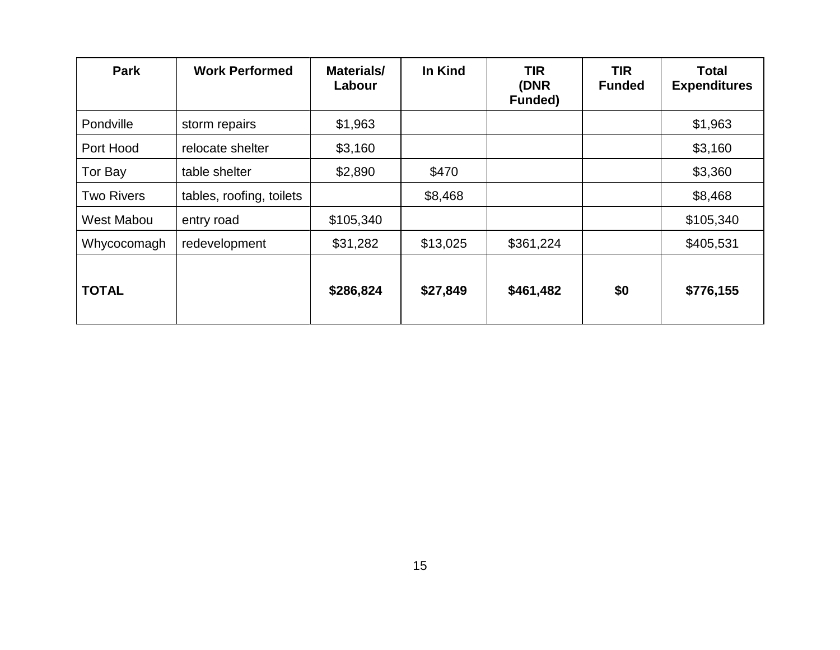| <b>Park</b>       | <b>Work Performed</b>    | Materials/<br>Labour | In Kind  | <b>TIR</b><br>(DNR<br><b>Funded)</b> | <b>TIR</b><br><b>Funded</b> | <b>Total</b><br><b>Expenditures</b> |
|-------------------|--------------------------|----------------------|----------|--------------------------------------|-----------------------------|-------------------------------------|
| Pondville         | storm repairs            | \$1,963              |          |                                      |                             | \$1,963                             |
| Port Hood         | relocate shelter         | \$3,160              |          |                                      |                             | \$3,160                             |
| Tor Bay           | table shelter            | \$2,890              | \$470    |                                      |                             | \$3,360                             |
| <b>Two Rivers</b> | tables, roofing, toilets |                      | \$8,468  |                                      |                             | \$8,468                             |
| West Mabou        | entry road               | \$105,340            |          |                                      |                             | \$105,340                           |
| Whycocomagh       | redevelopment            | \$31,282             | \$13,025 | \$361,224                            |                             | \$405,531                           |
| <b>TOTAL</b>      |                          | \$286,824            | \$27,849 | \$461,482                            | \$0                         | \$776,155                           |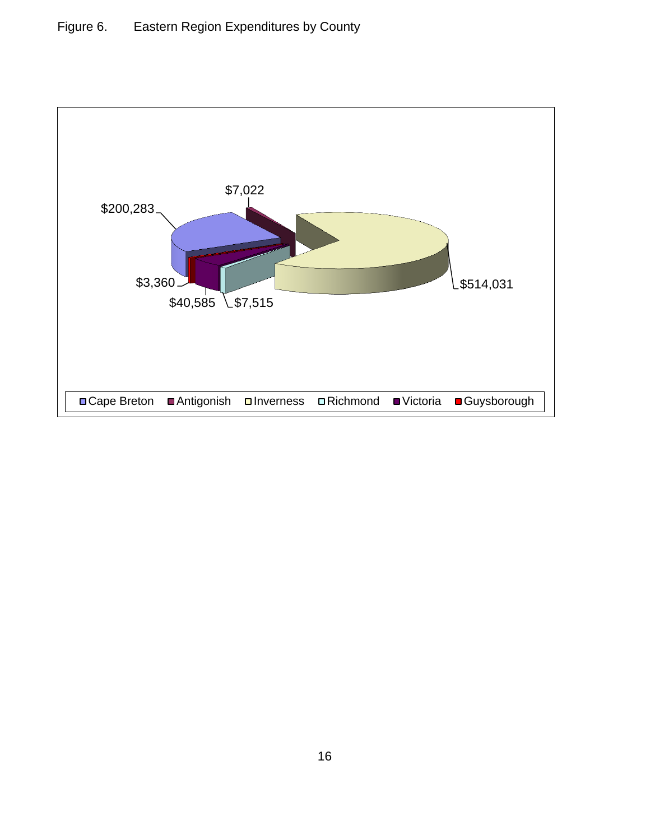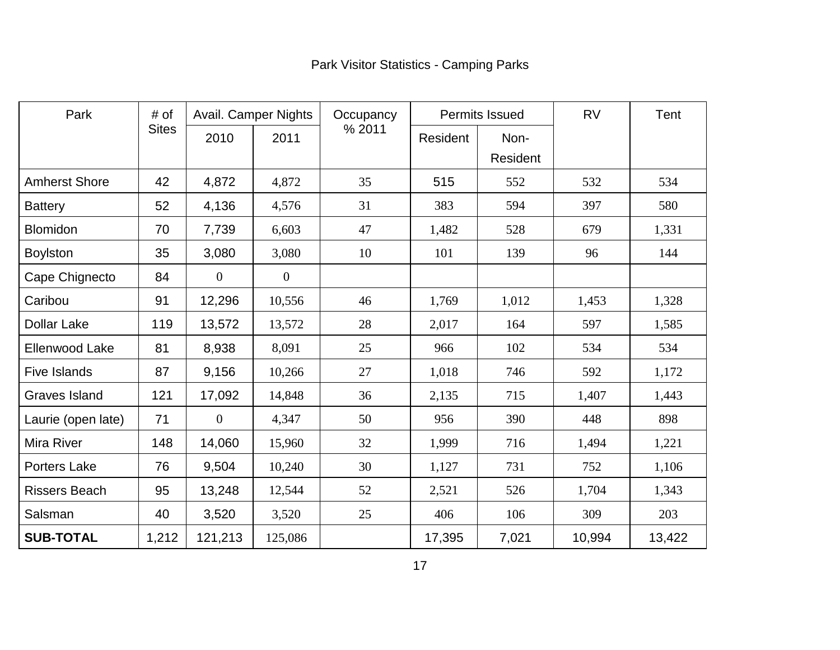| <b>Park Visitor Statistics - Camping Parks</b> |  |
|------------------------------------------------|--|
|------------------------------------------------|--|

| Park<br># of          |              | Avail. Camper Nights |          | Occupancy |          | <b>Permits Issued</b> |        | Tent   |
|-----------------------|--------------|----------------------|----------|-----------|----------|-----------------------|--------|--------|
|                       | <b>Sites</b> | 2010                 | 2011     | % 2011    | Resident | Non-<br>Resident      |        |        |
| <b>Amherst Shore</b>  | 42           | 4,872                | 4,872    | 35        | 515      | 552                   | 532    | 534    |
| <b>Battery</b>        | 52           | 4,136                | 4,576    | 31        | 383      | 594                   | 397    | 580    |
| <b>Blomidon</b>       | 70           | 7,739                | 6,603    | 47        | 1,482    | 528                   | 679    | 1,331  |
| <b>Boylston</b>       | 35           | 3,080                | 3,080    | 10        | 101      | 139                   | 96     | 144    |
| Cape Chignecto        | 84           | $\theta$             | $\theta$ |           |          |                       |        |        |
| Caribou               | 91           | 12,296               | 10,556   | 46        | 1,769    | 1,012                 | 1,453  | 1,328  |
| <b>Dollar Lake</b>    | 119          | 13,572               | 13,572   | 28        | 2,017    | 164                   | 597    | 1,585  |
| <b>Ellenwood Lake</b> | 81           | 8,938                | 8,091    | 25        | 966      | 102                   | 534    | 534    |
| <b>Five Islands</b>   | 87           | 9,156                | 10,266   | 27        | 1,018    | 746                   | 592    | 1,172  |
| <b>Graves Island</b>  | 121          | 17,092               | 14,848   | 36        | 2,135    | 715                   | 1,407  | 1,443  |
| Laurie (open late)    | 71           | $\Omega$             | 4,347    | 50        | 956      | 390                   | 448    | 898    |
| <b>Mira River</b>     | 148          | 14,060               | 15,960   | 32        | 1,999    | 716                   | 1,494  | 1,221  |
| <b>Porters Lake</b>   | 76           | 9,504                | 10,240   | 30        | 1,127    | 731                   | 752    | 1,106  |
| <b>Rissers Beach</b>  | 95           | 13,248               | 12,544   | 52        | 2,521    | 526                   | 1,704  | 1,343  |
| Salsman               | 40           | 3,520                | 3,520    | 25        | 406      | 106                   | 309    | 203    |
| <b>SUB-TOTAL</b>      | 1,212        | 121,213              | 125,086  |           | 17,395   | 7,021                 | 10,994 | 13,422 |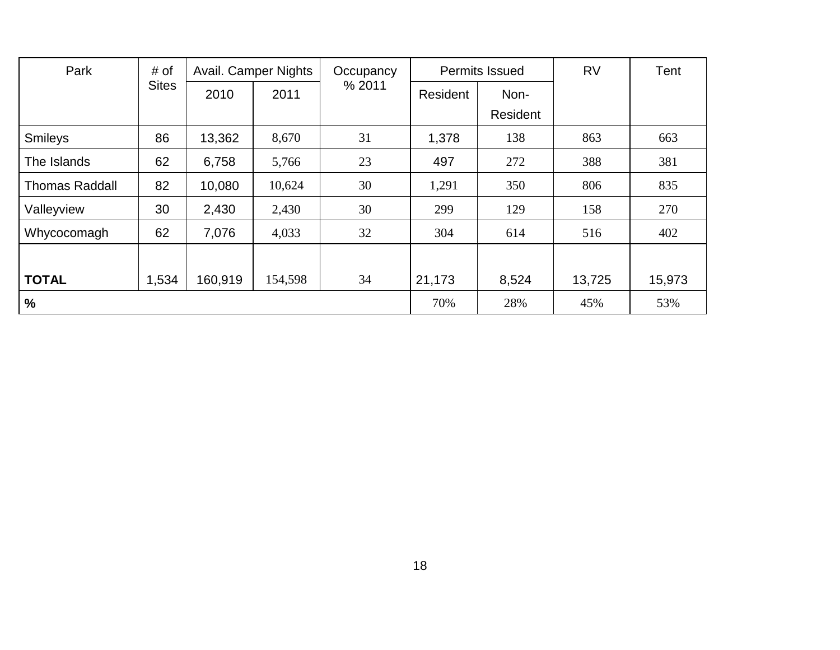| Park                  | # of         | Avail. Camper Nights |         | Occupancy | <b>Permits Issued</b> |          | <b>RV</b> | Tent   |
|-----------------------|--------------|----------------------|---------|-----------|-----------------------|----------|-----------|--------|
|                       | <b>Sites</b> | 2010                 | 2011    | % 2011    | Resident              | Non-     |           |        |
|                       |              |                      |         |           |                       | Resident |           |        |
| <b>Smileys</b>        | 86           | 13,362               | 8,670   | 31        | 1,378                 | 138      | 863       | 663    |
| The Islands           | 62           | 6,758                | 5,766   | 23        | 497                   | 272      | 388       | 381    |
| <b>Thomas Raddall</b> | 82           | 10,080               | 10,624  | 30        | 1,291                 | 350      | 806       | 835    |
| Valleyview            | 30           | 2,430                | 2,430   | 30        | 299                   | 129      | 158       | 270    |
| Whycocomagh           | 62           | 7,076                | 4,033   | 32        | 304                   | 614      | 516       | 402    |
|                       |              |                      |         |           |                       |          |           |        |
| <b>TOTAL</b>          | 1,534        | 160,919              | 154,598 | 34        | 21,173                | 8,524    | 13,725    | 15,973 |
| $\%$                  |              |                      |         |           | 70%                   | 28%      | 45%       | 53%    |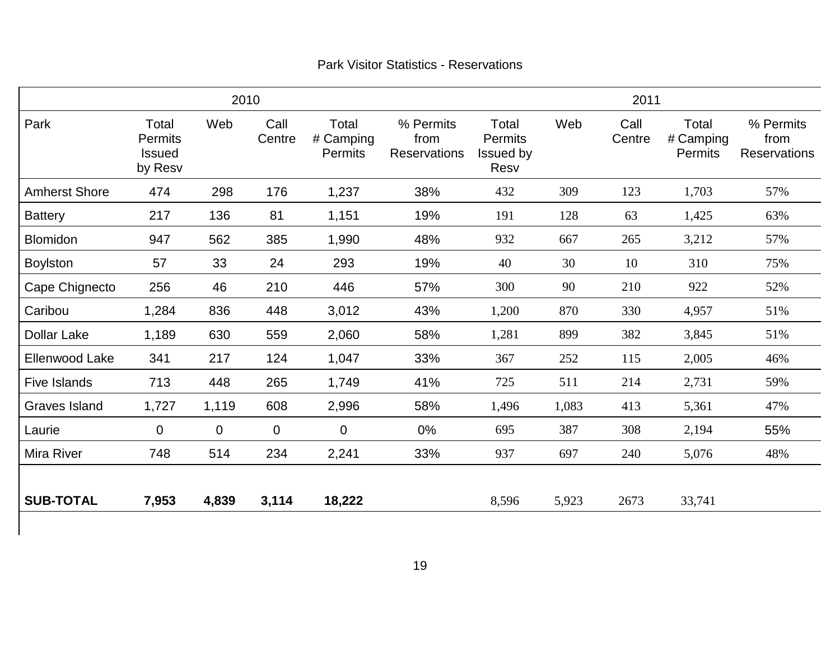|                       |                                                     |              | 2010           |                                      |                                          |                                              |       | 2011           |                                      |                                          |
|-----------------------|-----------------------------------------------------|--------------|----------------|--------------------------------------|------------------------------------------|----------------------------------------------|-------|----------------|--------------------------------------|------------------------------------------|
| Park                  | Total<br><b>Permits</b><br><b>Issued</b><br>by Resv | Web          | Call<br>Centre | Total<br># Camping<br><b>Permits</b> | % Permits<br>from<br><b>Reservations</b> | Total<br>Permits<br><b>Issued by</b><br>Resv | Web   | Call<br>Centre | Total<br># Camping<br><b>Permits</b> | % Permits<br>from<br><b>Reservations</b> |
| <b>Amherst Shore</b>  | 474                                                 | 298          | 176            | 1,237                                | 38%                                      | 432                                          | 309   | 123            | 1,703                                | 57%                                      |
| <b>Battery</b>        | 217                                                 | 136          | 81             | 1,151                                | 19%                                      | 191                                          | 128   | 63             | 1,425                                | 63%                                      |
| <b>Blomidon</b>       | 947                                                 | 562          | 385            | 1,990                                | 48%                                      | 932                                          | 667   | 265            | 3,212                                | 57%                                      |
| <b>Boylston</b>       | 57                                                  | 33           | 24             | 293                                  | 19%                                      | 40                                           | 30    | 10             | 310                                  | 75%                                      |
| Cape Chignecto        | 256                                                 | 46           | 210            | 446                                  | 57%                                      | 300                                          | 90    | 210            | 922                                  | 52%                                      |
| Caribou               | 1,284                                               | 836          | 448            | 3,012                                | 43%                                      | 1,200                                        | 870   | 330            | 4,957                                | 51%                                      |
| <b>Dollar Lake</b>    | 1,189                                               | 630          | 559            | 2,060                                | 58%                                      | 1,281                                        | 899   | 382            | 3,845                                | 51%                                      |
| <b>Ellenwood Lake</b> | 341                                                 | 217          | 124            | 1,047                                | 33%                                      | 367                                          | 252   | 115            | 2,005                                | 46%                                      |
| <b>Five Islands</b>   | 713                                                 | 448          | 265            | 1,749                                | 41%                                      | 725                                          | 511   | 214            | 2,731                                | 59%                                      |
| <b>Graves Island</b>  | 1,727                                               | 1,119        | 608            | 2,996                                | 58%                                      | 1,496                                        | 1,083 | 413            | 5,361                                | 47%                                      |
| Laurie                | $\mathbf 0$                                         | $\mathbf{0}$ | $\mathbf 0$    | $\mathbf 0$                          | 0%                                       | 695                                          | 387   | 308            | 2,194                                | 55%                                      |
| <b>Mira River</b>     | 748                                                 | 514          | 234            | 2,241                                | 33%                                      | 937                                          | 697   | 240            | 5,076                                | 48%                                      |
| <b>SUB-TOTAL</b>      | 7,953                                               | 4,839        | 3,114          | 18,222                               |                                          | 8,596                                        | 5,923 | 2673           | 33,741                               |                                          |

### Park Visitor Statistics - Reservations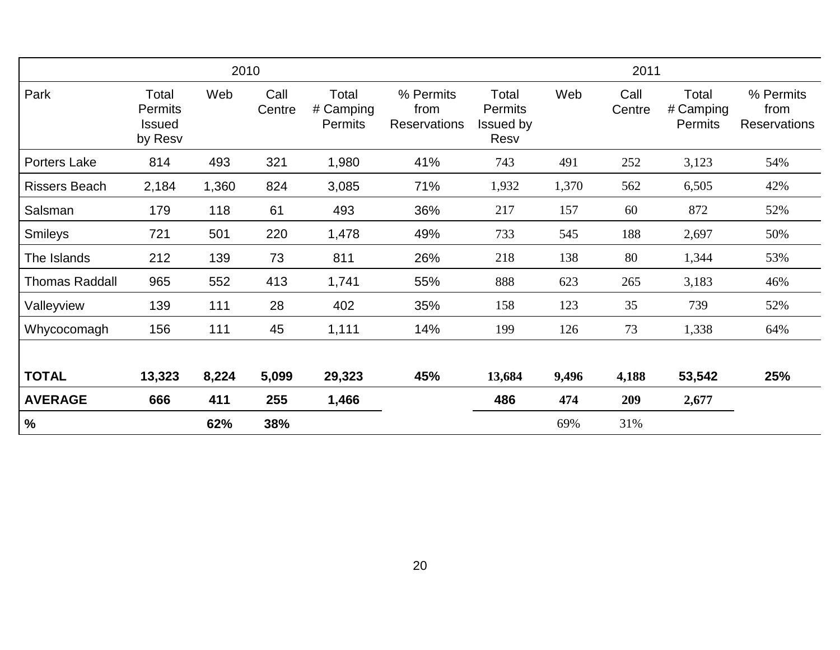|                       |                                                     |       | 2010           |                                      |                                          |                                              |       | 2011           |                                      |                                          |
|-----------------------|-----------------------------------------------------|-------|----------------|--------------------------------------|------------------------------------------|----------------------------------------------|-------|----------------|--------------------------------------|------------------------------------------|
| Park                  | Total<br><b>Permits</b><br><b>Issued</b><br>by Resv | Web   | Call<br>Centre | Total<br># Camping<br><b>Permits</b> | % Permits<br>from<br><b>Reservations</b> | Total<br><b>Permits</b><br>Issued by<br>Resv | Web   | Call<br>Centre | Total<br># Camping<br><b>Permits</b> | % Permits<br>from<br><b>Reservations</b> |
| Porters Lake          | 814                                                 | 493   | 321            | 1,980                                | 41%                                      | 743                                          | 491   | 252            | 3,123                                | 54%                                      |
| <b>Rissers Beach</b>  | 2,184                                               | 1,360 | 824            | 3,085                                | 71%                                      | 1,932                                        | 1,370 | 562            | 6,505                                | 42%                                      |
| Salsman               | 179                                                 | 118   | 61             | 493                                  | 36%                                      | 217                                          | 157   | 60             | 872                                  | 52%                                      |
| <b>Smileys</b>        | 721                                                 | 501   | 220            | 1,478                                | 49%                                      | 733                                          | 545   | 188            | 2,697                                | 50%                                      |
| The Islands           | 212                                                 | 139   | 73             | 811                                  | 26%                                      | 218                                          | 138   | 80             | 1,344                                | 53%                                      |
| <b>Thomas Raddall</b> | 965                                                 | 552   | 413            | 1,741                                | 55%                                      | 888                                          | 623   | 265            | 3,183                                | 46%                                      |
| Valleyview            | 139                                                 | 111   | 28             | 402                                  | 35%                                      | 158                                          | 123   | 35             | 739                                  | 52%                                      |
| Whycocomagh           | 156                                                 | 111   | 45             | 1,111                                | 14%                                      | 199                                          | 126   | 73             | 1,338                                | 64%                                      |
| <b>TOTAL</b>          | 13,323                                              | 8,224 | 5,099          | 29,323                               | 45%                                      | 13,684                                       | 9,496 | 4,188          | 53,542                               | 25%                                      |
| <b>AVERAGE</b>        | 666                                                 | 411   | 255            | 1,466                                |                                          | 486                                          | 474   | 209            | 2,677                                |                                          |
| %                     |                                                     | 62%   | 38%            |                                      |                                          |                                              | 69%   | 31%            |                                      |                                          |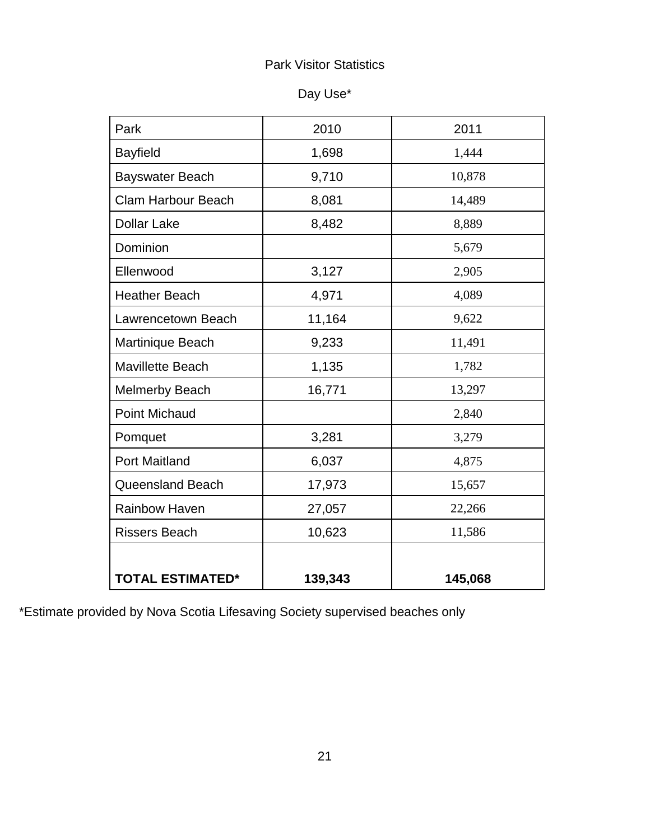### Park Visitor Statistics

| Day Use* |  |
|----------|--|
|----------|--|

| Park                      | 2010    | 2011    |
|---------------------------|---------|---------|
|                           |         |         |
| <b>Bayfield</b>           | 1,698   | 1,444   |
| <b>Bayswater Beach</b>    | 9,710   | 10,878  |
| <b>Clam Harbour Beach</b> | 8,081   | 14,489  |
| <b>Dollar Lake</b>        | 8,482   | 8,889   |
| Dominion                  |         | 5,679   |
| Ellenwood                 | 3,127   | 2,905   |
| <b>Heather Beach</b>      | 4,971   | 4,089   |
| Lawrencetown Beach        | 11,164  | 9,622   |
| Martinique Beach          | 9,233   | 11,491  |
| <b>Mavillette Beach</b>   | 1,135   | 1,782   |
| <b>Melmerby Beach</b>     | 16,771  | 13,297  |
| <b>Point Michaud</b>      |         | 2,840   |
| Pomquet                   | 3,281   | 3,279   |
| <b>Port Maitland</b>      | 6,037   | 4,875   |
| <b>Queensland Beach</b>   | 17,973  | 15,657  |
| <b>Rainbow Haven</b>      | 27,057  | 22,266  |
| <b>Rissers Beach</b>      | 10,623  | 11,586  |
| <b>TOTAL ESTIMATED*</b>   | 139,343 | 145,068 |

\*Estimate provided by Nova Scotia Lifesaving Society supervised beaches only